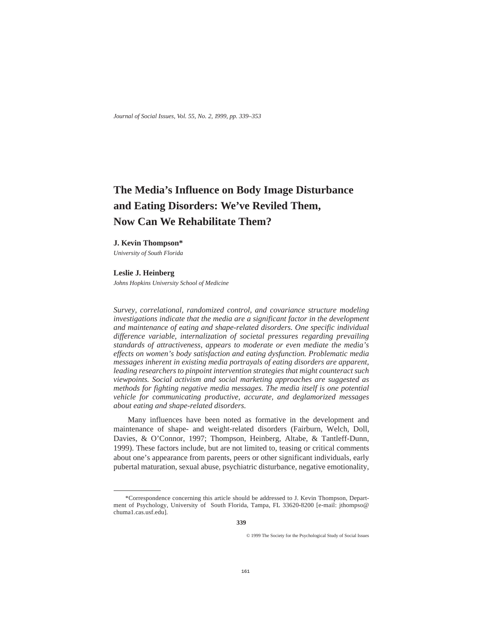# **The Media's Influence on Body Image Disturbance and Eating Disorders: We've Reviled Them, Now Can We Rehabilitate Them?**

**J. Kevin Thompson\***

*University of South Florida*

# **Leslie J. Heinberg**

*Johns Hopkins University School of Medicine*

*Survey, correlational, randomized control, and covariance structure modeling investigations indicate that the media are a significant factor in the development and maintenance of eating and shape-related disorders. One specific individual difference variable, internalization of societal pressures regarding prevailing standards of attractiveness, appears to moderate or even mediate the media's effects on women's body satisfaction and eating dysfunction. Problematic media messages inherent in existing media portrayals of eating disorders are apparent, leading researchers to pinpoint intervention strategies that might counteract such viewpoints. Social activism and social marketing approaches are suggested as methods for fighting negative media messages. The media itself is one potential vehicle for communicating productive, accurate, and deglamorized messages about eating and shape-related disorders.*

Many influences have been noted as formative in the development and maintenance of shape- and weight-related disorders (Fairburn, Welch, Doll, Davies, & O'Connor, 1997; Thompson, Heinberg, Altabe, & Tantleff-Dunn, 1999). These factors include, but are not limited to, teasing or critical comments about one's appearance from parents, peers or other significant individuals, early pubertal maturation, sexual abuse, psychiatric disturbance, negative emotionality,

**339**

<sup>\*</sup>Correspondence concerning this article should be addressed to J. Kevin Thompson, Department of Psychology, University of South Florida, Tampa, FL 33620-8200 [e-mail: jthompso@ chuma1.cas.usf.edu].

<sup>© 1999</sup> The Society for the Psychological Study of Social Issues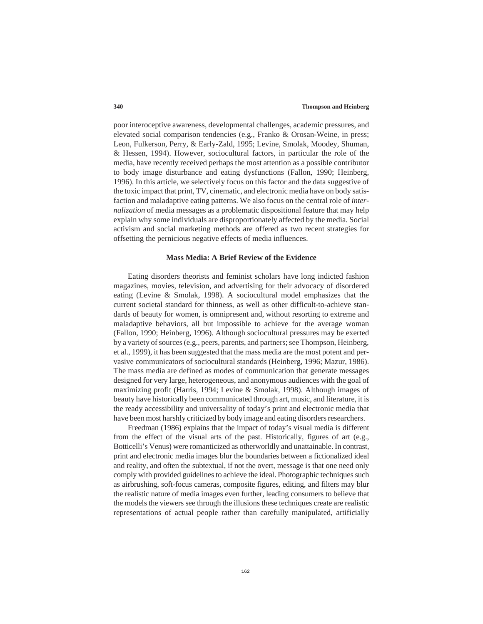poor interoceptive awareness, developmental challenges, academic pressures, and elevated social comparison tendencies (e.g., Franko & Orosan-Weine, in press; Leon, Fulkerson, Perry, & Early-Zald, 1995; Levine, Smolak, Moodey, Shuman, & Hessen, 1994). However, sociocultural factors, in particular the role of the media, have recently received perhaps the most attention as a possible contributor to body image disturbance and eating dysfunctions (Fallon, 1990; Heinberg, 1996). In this article, we selectively focus on this factor and the data suggestive of the toxic impact that print, TV, cinematic, and electronic media have on body satisfaction and maladaptive eating patterns. We also focus on the central role of *internalization* of media messages as a problematic dispositional feature that may help explain why some individuals are disproportionately affected by the media. Social activism and social marketing methods are offered as two recent strategies for offsetting the pernicious negative effects of media influences.

## **Mass Media: A Brief Review of the Evidence**

Eating disorders theorists and feminist scholars have long indicted fashion magazines, movies, television, and advertising for their advocacy of disordered eating (Levine & Smolak, 1998). A sociocultural model emphasizes that the current societal standard for thinness, as well as other difficult-to-achieve standards of beauty for women, is omnipresent and, without resorting to extreme and maladaptive behaviors, all but impossible to achieve for the average woman (Fallon, 1990; Heinberg, 1996). Although sociocultural pressures may be exerted by a variety of sources (e.g., peers, parents, and partners; see Thompson, Heinberg, et al., 1999), it has been suggested that the mass media are the most potent and pervasive communicators of sociocultural standards (Heinberg, 1996; Mazur, 1986). The mass media are defined as modes of communication that generate messages designed for very large, heterogeneous, and anonymous audiences with the goal of maximizing profit (Harris, 1994; Levine & Smolak, 1998). Although images of beauty have historically been communicated through art, music, and literature, it is the ready accessibility and universality of today's print and electronic media that have been most harshly criticized by body image and eating disorders researchers.

Freedman (1986) explains that the impact of today's visual media is different from the effect of the visual arts of the past. Historically, figures of art (e.g., Botticelli's Venus) were romanticized as otherworldly and unattainable. In contrast, print and electronic media images blur the boundaries between a fictionalized ideal and reality, and often the subtextual, if not the overt, message is that one need only comply with provided guidelines to achieve the ideal. Photographic techniques such as airbrushing, soft-focus cameras, composite figures, editing, and filters may blur the realistic nature of media images even further, leading consumers to believe that the models the viewers see through the illusions these techniques create are realistic representations of actual people rather than carefully manipulated, artificially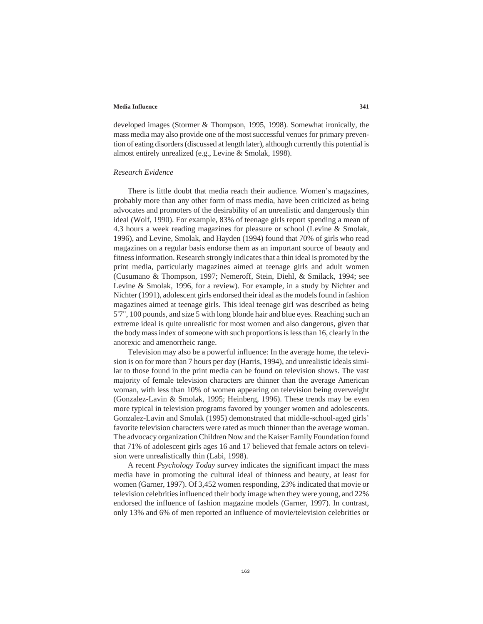developed images (Stormer & Thompson, 1995, 1998). Somewhat ironically, the mass media may also provide one of the most successful venues for primary prevention of eating disorders (discussed at length later), although currently this potential is almost entirely unrealized (e.g., Levine & Smolak, 1998).

## *Research Evidence*

There is little doubt that media reach their audience. Women's magazines, probably more than any other form of mass media, have been criticized as being advocates and promoters of the desirability of an unrealistic and dangerously thin ideal (Wolf, 1990). For example, 83% of teenage girls report spending a mean of 4.3 hours a week reading magazines for pleasure or school (Levine & Smolak, 1996), and Levine, Smolak, and Hayden (1994) found that 70% of girls who read magazines on a regular basis endorse them as an important source of beauty and fitness information. Research strongly indicates that a thin ideal is promoted by the print media, particularly magazines aimed at teenage girls and adult women (Cusumano & Thompson, 1997; Nemeroff, Stein, Diehl, & Smilack, 1994; see Levine & Smolak, 1996, for a review). For example, in a study by Nichter and Nichter (1991), adolescent girls endorsed their ideal as the models found in fashion magazines aimed at teenage girls. This ideal teenage girl was described as being 5'7", 100 pounds, and size 5 with long blonde hair and blue eyes. Reaching such an extreme ideal is quite unrealistic for most women and also dangerous, given that the body mass index of someone with such proportions is less than 16, clearly in the anorexic and amenorrheic range.

Television may also be a powerful influence: In the average home, the television is on for more than 7 hours per day (Harris, 1994), and unrealistic ideals similar to those found in the print media can be found on television shows. The vast majority of female television characters are thinner than the average American woman, with less than 10% of women appearing on television being overweight (Gonzalez-Lavin & Smolak, 1995; Heinberg, 1996). These trends may be even more typical in television programs favored by younger women and adolescents. Gonzalez-Lavin and Smolak (1995) demonstrated that middle-school-aged girls' favorite television characters were rated as much thinner than the average woman. The advocacy organization Children Now and the Kaiser Family Foundation found that 71% of adolescent girls ages 16 and 17 believed that female actors on television were unrealistically thin (Labi, 1998).

A recent *Psychology Today* survey indicates the significant impact the mass media have in promoting the cultural ideal of thinness and beauty, at least for women (Garner, 1997). Of 3,452 women responding, 23% indicated that movie or television celebrities influenced their body image when they were young, and 22% endorsed the influence of fashion magazine models (Garner, 1997). In contrast, only 13% and 6% of men reported an influence of movie/television celebrities or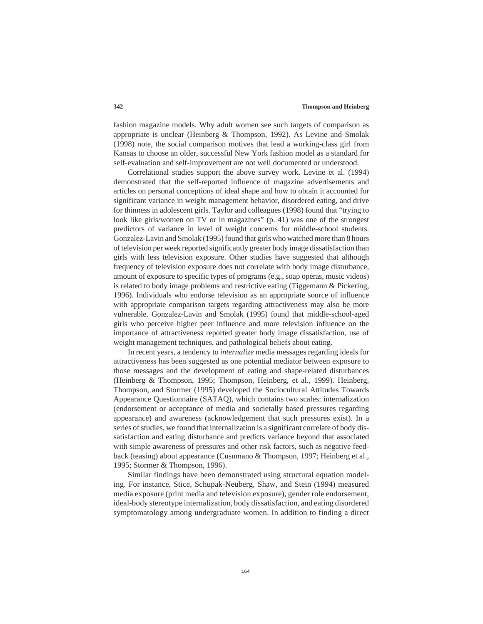fashion magazine models. Why adult women see such targets of comparison as appropriate is unclear (Heinberg & Thompson, 1992). As Levine and Smolak (1998) note, the social comparison motives that lead a working-class girl from Kansas to choose an older, successful New York fashion model as a standard for self-evaluation and self-improvement are not well documented or understood.

Correlational studies support the above survey work. Levine et al. (1994) demonstrated that the self-reported influence of magazine advertisements and articles on personal conceptions of ideal shape and how to obtain it accounted for significant variance in weight management behavior, disordered eating, and drive for thinness in adolescent girls. Taylor and colleagues (1998) found that "trying to look like girls/women on TV or in magazines" (p. 41) was one of the strongest predictors of variance in level of weight concerns for middle-school students. Gonzalez-Lavin and Smolak (1995) found that girls who watched more than 8 hours of television per week reported significantly greater body image dissatisfaction than girls with less television exposure. Other studies have suggested that although frequency of television exposure does not correlate with body image disturbance, amount of exposure to specific types of programs (e.g., soap operas, music videos) is related to body image problems and restrictive eating (Tiggemann & Pickering, 1996). Individuals who endorse television as an appropriate source of influence with appropriate comparison targets regarding attractiveness may also be more vulnerable. Gonzalez-Lavin and Smolak (1995) found that middle-school-aged girls who perceive higher peer influence and more television influence on the importance of attractiveness reported greater body image dissatisfaction, use of weight management techniques, and pathological beliefs about eating.

In recent years, a tendency to *internalize* media messages regarding ideals for attractiveness has been suggested as one potential mediator between exposure to those messages and the development of eating and shape-related disturbances (Heinberg & Thompson, 1995; Thompson, Heinberg, et al., 1999). Heinberg, Thompson, and Stormer (1995) developed the Sociocultural Attitudes Towards Appearance Questionnaire (SATAQ), which contains two scales: internalization (endorsement or acceptance of media and societally based pressures regarding appearance) and awareness (acknowledgement that such pressures exist). In a series of studies, we found that internalization is a significant correlate of body dissatisfaction and eating disturbance and predicts variance beyond that associated with simple awareness of pressures and other risk factors, such as negative feedback (teasing) about appearance (Cusumano & Thompson, 1997; Heinberg et al., 1995; Stormer & Thompson, 1996).

Similar findings have been demonstrated using structural equation modeling. For instance, Stice, Schupak-Neuberg, Shaw, and Stein (1994) measured media exposure (print media and television exposure), gender role endorsement, ideal-body stereotype internalization, body dissatisfaction, and eating disordered symptomatology among undergraduate women. In addition to finding a direct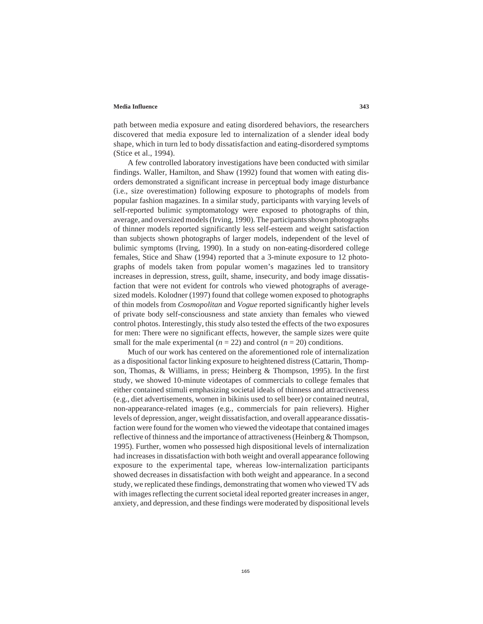path between media exposure and eating disordered behaviors, the researchers discovered that media exposure led to internalization of a slender ideal body shape, which in turn led to body dissatisfaction and eating-disordered symptoms (Stice et al., 1994).

A few controlled laboratory investigations have been conducted with similar findings. Waller, Hamilton, and Shaw (1992) found that women with eating disorders demonstrated a significant increase in perceptual body image disturbance (i.e., size overestimation) following exposure to photographs of models from popular fashion magazines. In a similar study, participants with varying levels of self-reported bulimic symptomatology were exposed to photographs of thin, average, and oversized models (Irving, 1990). The participants shown photographs of thinner models reported significantly less self-esteem and weight satisfaction than subjects shown photographs of larger models, independent of the level of bulimic symptoms (Irving, 1990). In a study on non-eating-disordered college females, Stice and Shaw (1994) reported that a 3-minute exposure to 12 photographs of models taken from popular women's magazines led to transitory increases in depression, stress, guilt, shame, insecurity, and body image dissatisfaction that were not evident for controls who viewed photographs of averagesized models. Kolodner (1997) found that college women exposed to photographs of thin models from *Cosmopolitan* and *Vogue* reported significantly higher levels of private body self-consciousness and state anxiety than females who viewed control photos. Interestingly, this study also tested the effects of the two exposures for men: There were no significant effects, however, the sample sizes were quite small for the male experimental  $(n = 22)$  and control  $(n = 20)$  conditions.

Much of our work has centered on the aforementioned role of internalization as a dispositional factor linking exposure to heightened distress (Cattarin, Thompson, Thomas, & Williams, in press; Heinberg & Thompson, 1995). In the first study, we showed 10-minute videotapes of commercials to college females that either contained stimuli emphasizing societal ideals of thinness and attractiveness (e.g., diet advertisements, women in bikinis used to sell beer) or contained neutral, non-appearance-related images (e.g., commercials for pain relievers). Higher levels of depression, anger, weight dissatisfaction, and overall appearance dissatisfaction were found for the women who viewed the videotape that contained images reflective of thinness and the importance of attractiveness (Heinberg & Thompson, 1995). Further, women who possessed high dispositional levels of internalization had increases in dissatisfaction with both weight and overall appearance following exposure to the experimental tape, whereas low-internalization participants showed decreases in dissatisfaction with both weight and appearance. In a second study, we replicated these findings, demonstrating that women who viewed TV ads with images reflecting the current societal ideal reported greater increases in anger, anxiety, and depression, and these findings were moderated by dispositional levels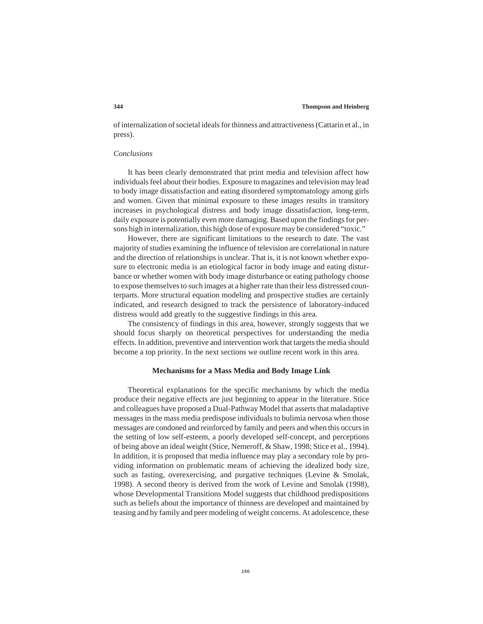of internalization of societal ideals for thinness and attractiveness (Cattarin et al., in press).

## *Conclusions*

It has been clearly demonstrated that print media and television affect how individuals feel about their bodies. Exposure to magazines and television may lead to body image dissatisfaction and eating disordered symptomatology among girls and women. Given that minimal exposure to these images results in transitory increases in psychological distress and body image dissatisfaction, long-term, daily exposure is potentially even more damaging. Based upon the findings for persons high in internalization, this high dose of exposure may be considered "toxic."

However, there are significant limitations to the research to date. The vast majority of studies examining the influence of television are correlational in nature and the direction of relationships is unclear. That is, it is not known whether exposure to electronic media is an etiological factor in body image and eating disturbance or whether women with body image disturbance or eating pathology choose to expose themselves to such images at a higher rate than their less distressed counterparts. More structural equation modeling and prospective studies are certainly indicated, and research designed to track the persistence of laboratory-induced distress would add greatly to the suggestive findings in this area.

The consistency of findings in this area, however, strongly suggests that we should focus sharply on theoretical perspectives for understanding the media effects. In addition, preventive and intervention work that targets the media should become a top priority. In the next sections we outline recent work in this area.

#### **Mechanisms for a Mass Media and Body Image Link**

Theoretical explanations for the specific mechanisms by which the media produce their negative effects are just beginning to appear in the literature. Stice and colleagues have proposed a Dual-Pathway Model that asserts that maladaptive messages in the mass media predispose individuals to bulimia nervosa when those messages are condoned and reinforced by family and peers and when this occurs in the setting of low self-esteem, a poorly developed self-concept, and perceptions of being above an ideal weight (Stice, Nemeroff, & Shaw, 1998; Stice et al., 1994). In addition, it is proposed that media influence may play a secondary role by providing information on problematic means of achieving the idealized body size, such as fasting, overexercising, and purgative techniques (Levine & Smolak, 1998). A second theory is derived from the work of Levine and Smolak (1998), whose Developmental Transitions Model suggests that childhood predispositions such as beliefs about the importance of thinness are developed and maintained by teasing and by family and peer modeling of weight concerns. At adolescence, these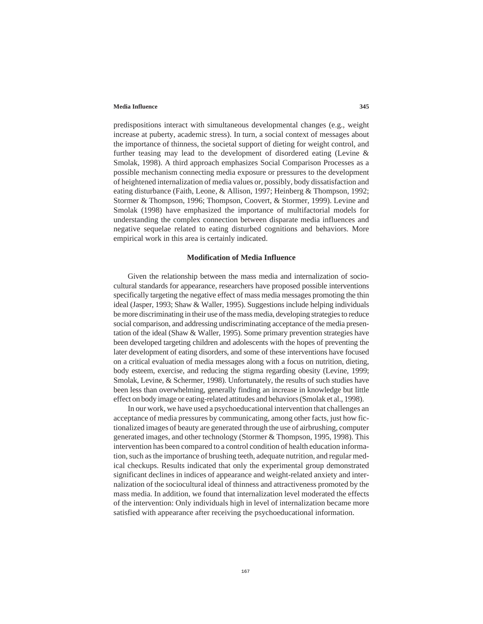predispositions interact with simultaneous developmental changes (e.g., weight increase at puberty, academic stress). In turn, a social context of messages about the importance of thinness, the societal support of dieting for weight control, and further teasing may lead to the development of disordered eating (Levine & Smolak, 1998). A third approach emphasizes Social Comparison Processes as a possible mechanism connecting media exposure or pressures to the development of heightened internalization of media values or, possibly, body dissatisfaction and eating disturbance (Faith, Leone, & Allison, 1997; Heinberg & Thompson, 1992; Stormer & Thompson, 1996; Thompson, Coovert, & Stormer, 1999). Levine and Smolak (1998) have emphasized the importance of multifactorial models for understanding the complex connection between disparate media influences and negative sequelae related to eating disturbed cognitions and behaviors. More empirical work in this area is certainly indicated.

# **Modification of Media Influence**

Given the relationship between the mass media and internalization of sociocultural standards for appearance, researchers have proposed possible interventions specifically targeting the negative effect of mass media messages promoting the thin ideal (Jasper, 1993; Shaw & Waller, 1995). Suggestions include helping individuals be more discriminating in their use of the mass media, developing strategies to reduce social comparison, and addressing undiscriminating acceptance of the media presentation of the ideal (Shaw & Waller, 1995). Some primary prevention strategies have been developed targeting children and adolescents with the hopes of preventing the later development of eating disorders, and some of these interventions have focused on a critical evaluation of media messages along with a focus on nutrition, dieting, body esteem, exercise, and reducing the stigma regarding obesity (Levine, 1999; Smolak, Levine, & Schermer, 1998). Unfortunately, the results of such studies have been less than overwhelming, generally finding an increase in knowledge but little effect on body image or eating-related attitudes and behaviors (Smolak et al., 1998).

In our work, we have used a psychoeducational intervention that challenges an acceptance of media pressures by communicating, among other facts, just how fictionalized images of beauty are generated through the use of airbrushing, computer generated images, and other technology (Stormer & Thompson, 1995, 1998). This intervention has been compared to a control condition of health education information, such as the importance of brushing teeth, adequate nutrition, and regular medical checkups. Results indicated that only the experimental group demonstrated significant declines in indices of appearance and weight-related anxiety and internalization of the sociocultural ideal of thinness and attractiveness promoted by the mass media. In addition, we found that internalization level moderated the effects of the intervention: Only individuals high in level of internalization became more satisfied with appearance after receiving the psychoeducational information.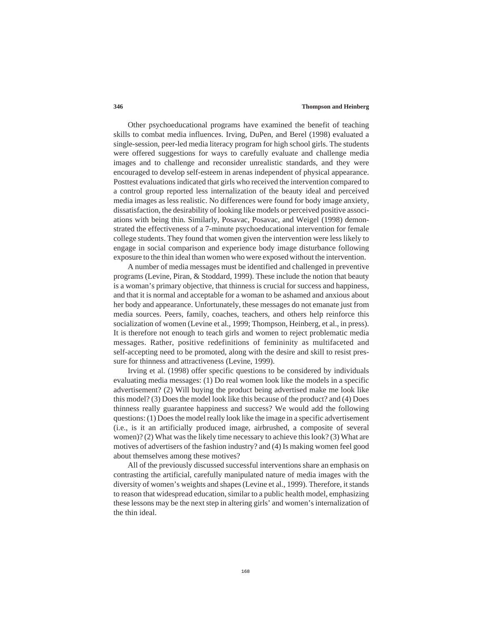Other psychoeducational programs have examined the benefit of teaching skills to combat media influences. Irving, DuPen, and Berel (1998) evaluated a single-session, peer-led media literacy program for high school girls. The students were offered suggestions for ways to carefully evaluate and challenge media images and to challenge and reconsider unrealistic standards, and they were encouraged to develop self-esteem in arenas independent of physical appearance. Posttest evaluations indicated that girls who received the intervention compared to a control group reported less internalization of the beauty ideal and perceived media images as less realistic. No differences were found for body image anxiety, dissatisfaction, the desirability of looking like models or perceived positive associations with being thin. Similarly, Posavac, Posavac, and Weigel (1998) demonstrated the effectiveness of a 7-minute psychoeducational intervention for female college students. They found that women given the intervention were less likely to engage in social comparison and experience body image disturbance following exposure to the thin ideal than women who were exposed without the intervention.

A number of media messages must be identified and challenged in preventive programs (Levine, Piran, & Stoddard, 1999). These include the notion that beauty is a woman's primary objective, that thinness is crucial for success and happiness, and that it is normal and acceptable for a woman to be ashamed and anxious about her body and appearance. Unfortunately, these messages do not emanate just from media sources. Peers, family, coaches, teachers, and others help reinforce this socialization of women (Levine et al., 1999; Thompson, Heinberg, et al., in press). It is therefore not enough to teach girls and women to reject problematic media messages. Rather, positive redefinitions of femininity as multifaceted and self-accepting need to be promoted, along with the desire and skill to resist pressure for thinness and attractiveness (Levine, 1999).

Irving et al. (1998) offer specific questions to be considered by individuals evaluating media messages: (1) Do real women look like the models in a specific advertisement? (2) Will buying the product being advertised make me look like this model? (3) Does the model look like this because of the product? and (4) Does thinness really guarantee happiness and success? We would add the following questions: (1) Does the model really look like the image in a specific advertisement (i.e., is it an artificially produced image, airbrushed, a composite of several women)? (2) What was the likely time necessary to achieve this look? (3) What are motives of advertisers of the fashion industry? and (4) Is making women feel good about themselves among these motives?

All of the previously discussed successful interventions share an emphasis on contrasting the artificial, carefully manipulated nature of media images with the diversity of women's weights and shapes (Levine et al., 1999). Therefore, it stands to reason that widespread education, similar to a public health model, emphasizing these lessons may be the next step in altering girls' and women's internalization of the thin ideal.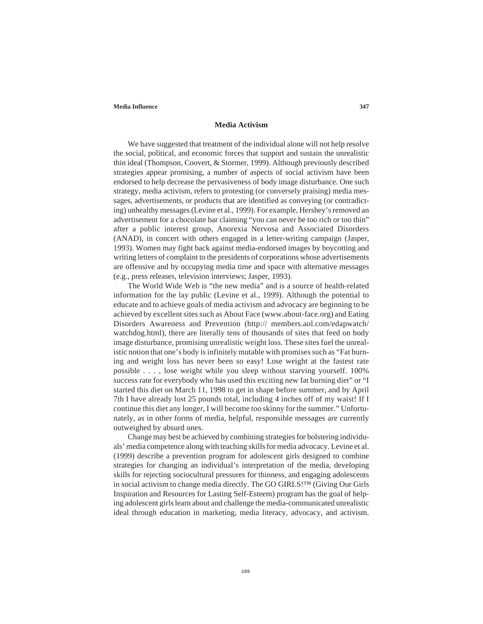#### **Media Activism**

We have suggested that treatment of the individual alone will not help resolve the social, political, and economic forces that support and sustain the unrealistic thin ideal (Thompson, Coovert, & Stormer, 1999). Although previously described strategies appear promising, a number of aspects of social activism have been endorsed to help decrease the pervasiveness of body image disturbance. One such strategy, media activism, refers to protesting (or conversely praising) media messages, advertisements, or products that are identified as conveying (or contradicting) unhealthy messages (Levine et al., 1999). For example, Hershey's removed an advertisement for a chocolate bar claiming "you can never be too rich or too thin" after a public interest group, Anorexia Nervosa and Associated Disorders (ANAD), in concert with others engaged in a letter-writing campaign (Jasper, 1993). Women may fight back against media-endorsed images by boycotting and writing letters of complaint to the presidents of corporations whose advertisements are offensive and by occupying media time and space with alternative messages (e.g., press releases, television interviews; Jasper, 1993).

The World Wide Web is "the new media" and is a source of health-related information for the lay public (Levine et al., 1999). Although the potential to educate and to achieve goals of media activism and advocacy are beginning to be achieved by excellent sites such as About Face (www.about-face.org) and Eating Disorders Awareness and Prevention (http:// members.aol.com/edapwatch/ watchdog.html), there are literally tens of thousands of sites that feed on body image disturbance, promising unrealistic weight loss. These sites fuel the unrealistic notion that one's body is infinitely mutable with promises such as "Fat burning and weight loss has never been so easy! Lose weight at the fastest rate possible..., lose weight while you sleep without starving yourself. 100% success rate for everybody who has used this exciting new fat burning diet" or "I started this diet on March 11, 1998 to get in shape before summer, and by April 7th I have already lost 25 pounds total, including 4 inches off of my waist! If I continue this diet any longer, I will become too skinny for the summer." Unfortunately, as in other forms of media, helpful, responsible messages are currently outweighed by absurd ones.

Change may best be achieved by combining strategies for bolstering individuals' media competence along with teaching skills for media advocacy. Levine et al. (1999) describe a prevention program for adolescent girls designed to combine strategies for changing an individual's interpretation of the media, developing skills for rejecting sociocultural pressures for thinness, and engaging adolescents in social activism to change media directly. The GO GIRLS!™ (Giving Our Girls Inspiration and Resources for Lasting Self-Esteem) program has the goal of helping adolescent girls learn about and challenge the media-communicated unrealistic ideal through education in marketing, media literacy, advocacy, and activism.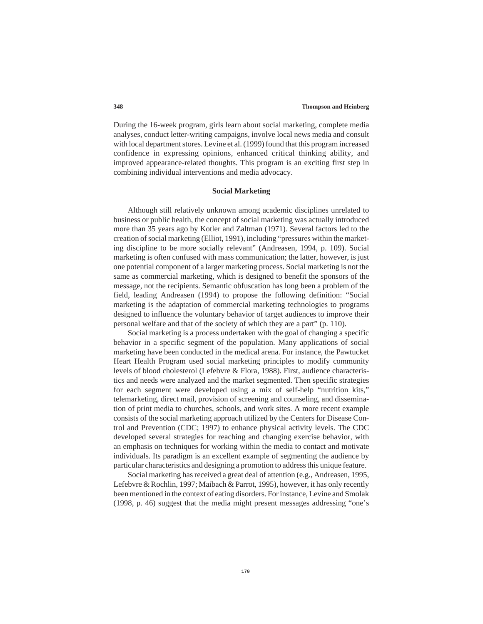During the 16-week program, girls learn about social marketing, complete media analyses, conduct letter-writing campaigns, involve local news media and consult with local department stores. Levine et al. (1999) found that this program increased confidence in expressing opinions, enhanced critical thinking ability, and improved appearance-related thoughts. This program is an exciting first step in combining individual interventions and media advocacy.

# **Social Marketing**

Although still relatively unknown among academic disciplines unrelated to business or public health, the concept of social marketing was actually introduced more than 35 years ago by Kotler and Zaltman (1971). Several factors led to the creation of social marketing (Elliot, 1991), including "pressures within the marketing discipline to be more socially relevant" (Andreasen, 1994, p. 109). Social marketing is often confused with mass communication; the latter, however, is just one potential component of a larger marketing process. Social marketing is not the same as commercial marketing, which is designed to benefit the sponsors of the message, not the recipients. Semantic obfuscation has long been a problem of the field, leading Andreasen (1994) to propose the following definition: "Social marketing is the adaptation of commercial marketing technologies to programs designed to influence the voluntary behavior of target audiences to improve their personal welfare and that of the society of which they are a part" (p. 110).

Social marketing is a process undertaken with the goal of changing a specific behavior in a specific segment of the population. Many applications of social marketing have been conducted in the medical arena. For instance, the Pawtucket Heart Health Program used social marketing principles to modify community levels of blood cholesterol (Lefebvre & Flora, 1988). First, audience characteristics and needs were analyzed and the market segmented. Then specific strategies for each segment were developed using a mix of self-help "nutrition kits," telemarketing, direct mail, provision of screening and counseling, and dissemination of print media to churches, schools, and work sites. A more recent example consists of the social marketing approach utilized by the Centers for Disease Control and Prevention (CDC; 1997) to enhance physical activity levels. The CDC developed several strategies for reaching and changing exercise behavior, with an emphasis on techniques for working within the media to contact and motivate individuals. Its paradigm is an excellent example of segmenting the audience by particular characteristics and designing a promotion to address this unique feature.

Social marketing has received a great deal of attention (e.g., Andreasen, 1995, Lefebvre & Rochlin, 1997; Maibach & Parrot, 1995), however, it has only recently been mentioned in the context of eating disorders. For instance, Levine and Smolak (1998, p. 46) suggest that the media might present messages addressing "one's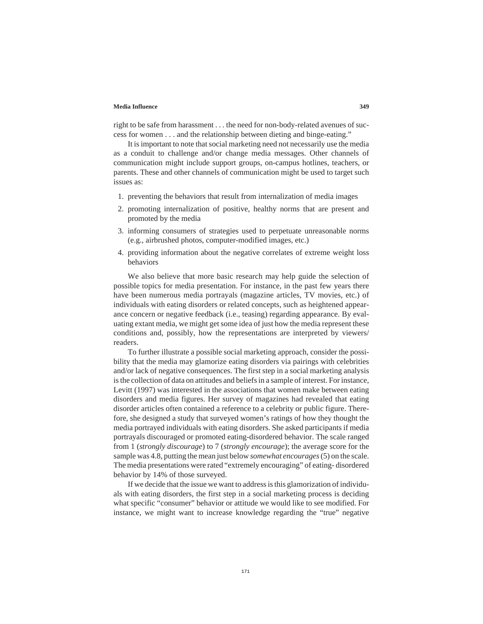#### **Media Influence 349**

It is important to note that social marketing need not necessarily use the media as a conduit to challenge and/or change media messages. Other channels of communication might include support groups, on-campus hotlines, teachers, or parents. These and other channels of communication might be used to target such issues as:

- 1. preventing the behaviors that result from internalization of media images
- 2. promoting internalization of positive, healthy norms that are present and promoted by the media
- 3. informing consumers of strategies used to perpetuate unreasonable norms (e.g., airbrushed photos, computer-modified images, etc.)
- 4. providing information about the negative correlates of extreme weight loss behaviors

We also believe that more basic research may help guide the selection of possible topics for media presentation. For instance, in the past few years there have been numerous media portrayals (magazine articles, TV movies, etc.) of individuals with eating disorders or related concepts, such as heightened appearance concern or negative feedback (i.e., teasing) regarding appearance. By evaluating extant media, we might get some idea of just how the media represent these conditions and, possibly, how the representations are interpreted by viewers/ readers.

To further illustrate a possible social marketing approach, consider the possibility that the media may glamorize eating disorders via pairings with celebrities and/or lack of negative consequences. The first step in a social marketing analysis is the collection of data on attitudes and beliefs in a sample of interest. For instance, Levitt (1997) was interested in the associations that women make between eating disorders and media figures. Her survey of magazines had revealed that eating disorder articles often contained a reference to a celebrity or public figure. Therefore, she designed a study that surveyed women's ratings of how they thought the media portrayed individuals with eating disorders. She asked participants if media portrayals discouraged or promoted eating-disordered behavior. The scale ranged from 1 (*strongly discourage*) to 7 (*strongly encourage*); the average score for the sample was 4.8, putting the mean just below *somewhat encourages*(5) on the scale. The media presentations were rated "extremely encouraging" of eating- disordered behavior by 14% of those surveyed.

If we decide that the issue we want to address is this glamorization of individuals with eating disorders, the first step in a social marketing process is deciding what specific "consumer" behavior or attitude we would like to see modified. For instance, we might want to increase knowledge regarding the "true" negative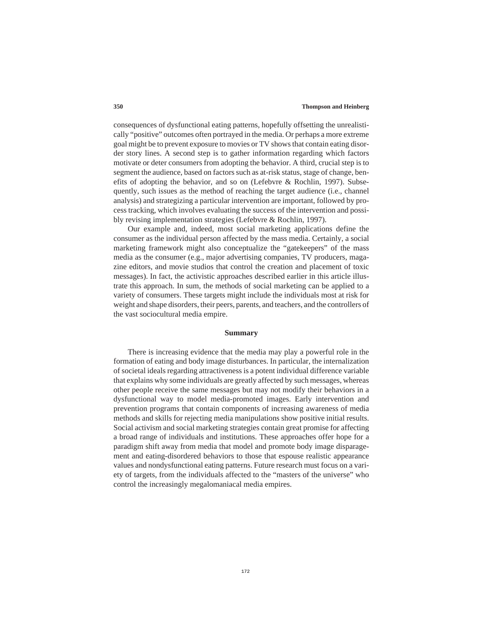consequences of dysfunctional eating patterns, hopefully offsetting the unrealistically "positive" outcomes often portrayed in the media. Or perhaps a more extreme goal might be to prevent exposure to movies or TV shows that contain eating disorder story lines. A second step is to gather information regarding which factors motivate or deter consumers from adopting the behavior. A third, crucial step is to segment the audience, based on factors such as at-risk status, stage of change, benefits of adopting the behavior, and so on (Lefebvre & Rochlin, 1997). Subsequently, such issues as the method of reaching the target audience (i.e., channel analysis) and strategizing a particular intervention are important, followed by process tracking, which involves evaluating the success of the intervention and possibly revising implementation strategies (Lefebvre & Rochlin, 1997).

Our example and, indeed, most social marketing applications define the consumer as the individual person affected by the mass media. Certainly, a social marketing framework might also conceptualize the "gatekeepers" of the mass media as the consumer (e.g., major advertising companies, TV producers, magazine editors, and movie studios that control the creation and placement of toxic messages). In fact, the activistic approaches described earlier in this article illustrate this approach. In sum, the methods of social marketing can be applied to a variety of consumers. These targets might include the individuals most at risk for weight and shape disorders, their peers, parents, and teachers, and the controllers of the vast sociocultural media empire.

#### **Summary**

There is increasing evidence that the media may play a powerful role in the formation of eating and body image disturbances. In particular, the internalization of societal ideals regarding attractiveness is a potent individual difference variable that explains why some individuals are greatly affected by such messages, whereas other people receive the same messages but may not modify their behaviors in a dysfunctional way to model media-promoted images. Early intervention and prevention programs that contain components of increasing awareness of media methods and skills for rejecting media manipulations show positive initial results. Social activism and social marketing strategies contain great promise for affecting a broad range of individuals and institutions. These approaches offer hope for a paradigm shift away from media that model and promote body image disparagement and eating-disordered behaviors to those that espouse realistic appearance values and nondysfunctional eating patterns. Future research must focus on a variety of targets, from the individuals affected to the "masters of the universe" who control the increasingly megalomaniacal media empires.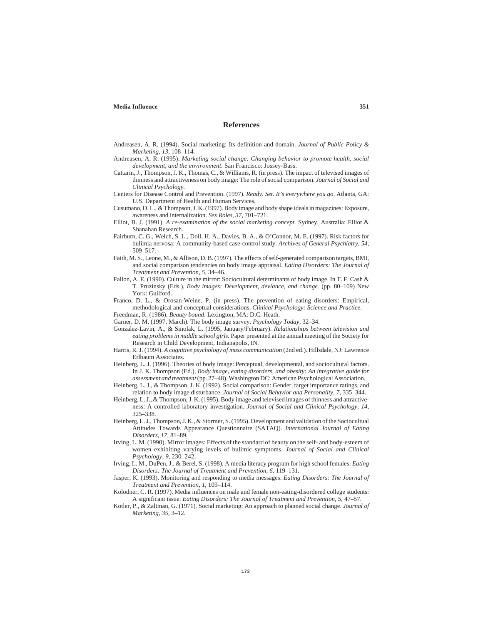#### **References**

- Andreasen, A. R. (1994). Social marketing: Its definition and domain. *Journal of Public Policy & Marketing, 13,* 108–114.
- Andreasen, A. R. (1995). *Marketing social change: Changing behavior to promote health, social development, and the environment.* San Francisco: Jossey-Bass.
- Cattarin, J., Thompson, J. K., Thomas, C., & Williams, R. (in press). The impact of televised images of thinness and attractiveness on body image: The role of social comparison. *Journal of Social and Clinical Psychology.*
- Centers for Disease Control and Prevention. (1997). *Ready. Set. It's everywhere you go.* Atlanta, GA: U.S. Department of Health and Human Services.
- Cusumano, D. L., & Thompson, J. K. (1997). Body image and body shape ideals in magazines: Exposure, awareness and internalization. *Sex Roles, 37,* 701–721.
- Elliot, B. J. (1991). *A re-examination of the social marketing concept.* Sydney, Australia: Elliot & Shanahan Research.
- Fairburn, C. G., Welch, S. L., Doll, H. A., Davies, B. A., & O'Connor, M. E. (1997). Risk factors for bulimia nervosa: A community-based case-control study. *Archives of General Psychiatry, 54,* 509–517.
- Faith, M. S., Leone, M., & Allison, D. B. (1997). The effects of self-generated comparison targets, BMI, and social comparison tendencies on body image appraisal. *Eating Disorders: The Journal of Treatment and Prevention, 5,* 34–46.
- Fallon, A. E. (1990). Culture in the mirror: Sociocultural determinants of body image. In T. F. Cash & T. Pruzinsky (Eds.), *Body images: Development, deviance, and change.* (pp. 80–109) New York: Guilford.
- Franco, D. L., & Orosan-Weine, P. (in press). The prevention of eating disorders: Empirical, methodological and conceptual considerations. *Clinical Psychology: Science and Practice.*
- Freedman, R. (1986). *Beauty bound*. Lexington, MA: D.C. Heath.
- Garner, D. M. (1997, March). The body image survey. *Psychology Today,* 32–34.
- Gonzalez-Lavin, A., & Smolak, L. (1995, January/February). *Relationships between television and eating problems in middle school girls.* Paper presented at the annual meeting of the Society for Research in Child Development, Indianapolis, IN.
- Harris, R. J. (1994). *A cognitive psychology of mass communication* (2nd ed.). Hillsdale, NJ: Lawrence Erlbaum Associates.
- Heinberg, L. J. (1996). Theories of body image: Perceptual, developmental, and sociocultural factors. In J. K. Thompson (Ed.), *Body image, eating disorders, and obesity: An integrative guide for assessment and treatment*(pp. 27–48). Washington DC: American Psychological Association.
- Heinberg, L. J., & Thompson, J. K. (1992). Social comparison: Gender, target importance ratings, and relation to body image disturbance. *Journal of Social Behavior and Personality, 7,* 335–344.
- Heinberg, L. J., & Thompson, J. K. (1995). Body image and televised images of thinness and attractiveness: A controlled laboratory investigation. *Journal of Social and Clinical Psychology, 14,* 325–338.
- Heinberg, L. J., Thompson, J. K., & Stormer, S. (1995). Development and validation of the Sociocultual Attitudes Towards Appearance Questionnaire (SATAQ). *International Journal of Eating Disorders, 17,* 81–89.
- Irving, L. M. (1990). Mirror images: Effects of the standard of beauty on the self- and body-esteem of women exhibiting varying levels of bulimic symptoms. *Journal of Social and Clinical Psychology, 9,* 230–242.
- Irving, L. M., DuPen, J., & Berel, S. (1998). A media literacy program for high school females. *Eating Disorders: The Journal of Treatment and Prevention*, *6*, 119–131.
- Jasper, K. (1993). Monitoring and responding to media messages. *Eating Disorders: The Journal of Treatment and Prevention, 1,* 109–114.
- Kolodner, C. R. (1997). Media influences on male and female non-eating-disordered college students: A significant issue. *Eating Disorders: The Journal of Treatment and Prevention, 5,* 47–57.
- Kotler, P., & Zaltman, G. (1971). Social marketing: An approach to planned social change. *Journal of Marketing, 35,* 3–12.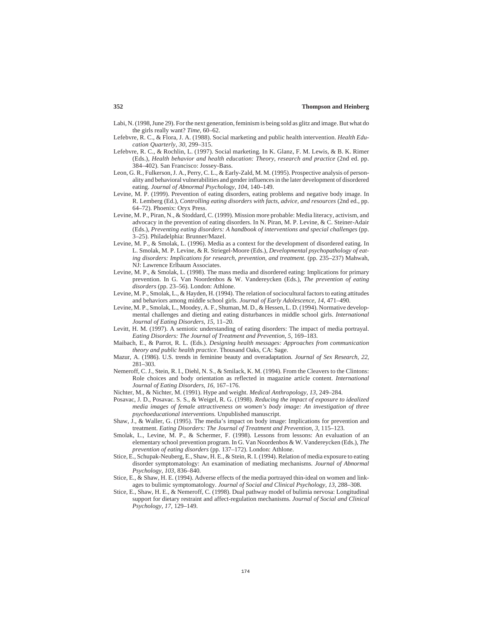- Labi, N. (1998, June 29). For the next generation, feminism is being sold as glitz and image. But what do the girls really want? *Time*, 60–62.
- Lefebvre, R. C., & Flora, J. A. (1988). Social marketing and public health intervention. *Health Education Quarterly*, *30*, 299–315.
- Lefebvre, R. C., & Rochlin, L. (1997). Social marketing. In K. Glanz, F. M. Lewis, & B. K. Rimer (Eds.), *Health behavior and health education: Theory, research and practice* (2nd ed. pp. 384–402). San Francisco: Jossey-Bass.
- Leon, G. R., Fulkerson, J. A., Perry, C. L., & Early-Zald, M. M. (1995). Prospective analysis of personality and behavioral vulnerabilities and gender influences in the later development of disordered eating. *Journal of Abnormal Psychology, 104,* 140–149.
- Levine, M. P. (1999). Prevention of eating disorders, eating problems and negative body image. In R. Lemberg (Ed.), *Controlling eating disorders with facts, advice, and resources* (2nd ed., pp. 64–72). Phoenix: Oryx Press.
- Levine, M. P., Piran, N., & Stoddard, C. (1999). Mission more probable: Media literacy, activism, and advocacy in the prevention of eating disorders. In N. Piran, M. P. Levine, & C. Steiner-Adair (Eds.), *Preventing eating disorders: A handbook of interventions and special challenges* (pp. 3–25). Philadelphia: Brunner/Mazel.
- Levine, M. P., & Smolak, L. (1996). Media as a context for the development of disordered eating. In L. Smolak, M. P. Levine, & R. Striegel-Moore (Eds.), *Developmental psychopathology of eating disorders: Implications for research, prevention, and treatment.* (pp. 235–237) Mahwah, NJ: Lawrence Erlbaum Associates.
- Levine, M. P., & Smolak, L. (1998). The mass media and disordered eating: Implications for primary prevention. In G. Van Noordenbos & W. Vandereycken (Eds.), *The prevention of eating disorders* (pp. 23–56). London: Athlone.
- Levine, M. P., Smolak, L., & Hayden, H. (1994). The relation of sociocultural factors to eating attitudes and behaviors among middle school girls. *Journal of Early Adolescence, 14,* 471–490.
- Levine, M. P., Smolak, L., Moodey, A. F., Shuman, M. D., & Hessen, L. D. (1994). Normative developmental challenges and dieting and eating disturbances in middle school girls. *International Journal of Eating Disorders, 15,* 11–20.
- Levitt, H. M. (1997). A semiotic understanding of eating disorders: The impact of media portrayal. *Eating Disorders: The Journal of Treatment and Prevention, 5,* 169–183.
- Maibach, E., & Parrot, R. L. (Eds.). *Designing health messages: Approaches from communication theory and public health practice*. Thousand Oaks, CA: Sage.
- Mazur, A. (1986). U.S. trends in feminine beauty and overadaptation. *Journal of Sex Research, 22,* 281–303.
- Nemeroff, C. J., Stein, R. I., Diehl, N. S., & Smilack, K. M. (1994). From the Cleavers to the Clintons: Role choices and body orientation as reflected in magazine article content. *International Journal of Eating Disorders, 16,* 167–176.
- Nichter, M., & Nichter, M. (1991). Hype and weight. *Medical Anthropology, 13,* 249–284.
- Posavac, J. D., Posavac. S. S., & Weigel, R. G. (1998). *Reducing the impact of exposure to idealized media images of female attractiveness on women's body image: An investigation of three psychoeducational interventions.* Unpublished manuscript.
- Shaw, J., & Waller, G. (1995). The media's impact on body image: Implications for prevention and treatment. *Eating Disorders: The Journal of Treatment and Prevention, 3,* 115–123.
- Smolak, L., Levine, M. P., & Schermer, F. (1998). Lessons from lessons: An evaluation of an elementary school prevention program. In G. Van Noordenbos & W. Vandereycken (Eds.), *The prevention of eating disorders* (pp. 137–172). London: Athlone.
- Stice, E., Schupak-Neuberg, E., Shaw, H. E., & Stein, R. I. (1994). Relation of media exposure to eating disorder symptomatology: An examination of mediating mechanisms. *Journal of Abnormal Psychology, 103,* 836–840.
- Stice, E., & Shaw, H. E. (1994). Adverse effects of the media portrayed thin-ideal on women and linkages to bulimic symptomatology. *Journal of Social and Clinical Psychology, 13,* 288–308.
- Stice, E., Shaw, H. E., & Nemeroff, C. (1998). Dual pathway model of bulimia nervosa: Longitudinal support for dietary restraint and affect-regulation mechanisms. *Journal of Social and Clinical Psychology, 17,* 129–149.